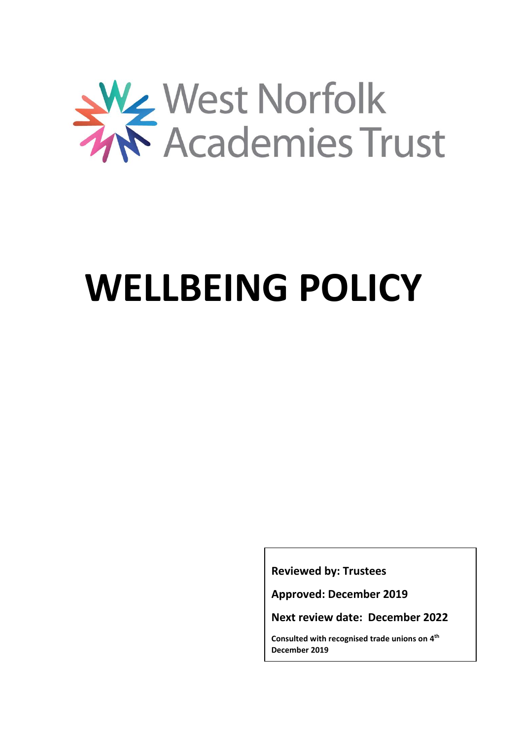

# **WELLBEING POLICY**

**Reviewed by: Trustees**

**Approved: December 2019**

**Next review date: December 2022**

**Consulted with recognised trade unions on 4 th December 2019**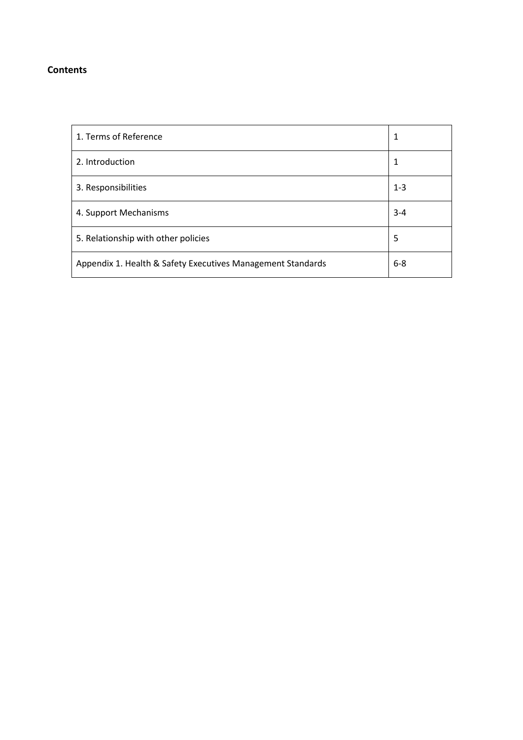## **Contents**

| 1. Terms of Reference                                       | 1       |
|-------------------------------------------------------------|---------|
| 2. Introduction                                             | 1       |
| 3. Responsibilities                                         | $1 - 3$ |
| 4. Support Mechanisms                                       | $3 - 4$ |
| 5. Relationship with other policies                         | 5       |
| Appendix 1. Health & Safety Executives Management Standards | $6 - 8$ |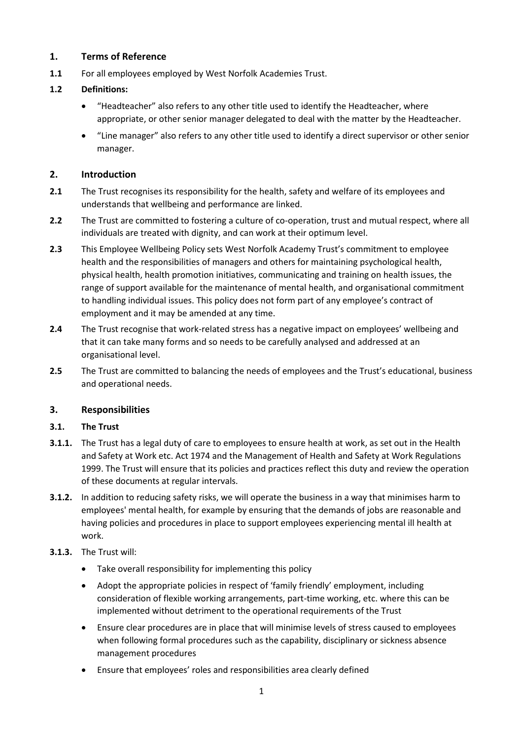# **1. Terms of Reference**

**1.1** For all employees employed by West Norfolk Academies Trust.

# **1.2 Definitions:**

- "Headteacher" also refers to any other title used to identify the Headteacher, where appropriate, or other senior manager delegated to deal with the matter by the Headteacher.
- "Line manager" also refers to any other title used to identify a direct supervisor or other senior manager.

# **2. Introduction**

- **2.1** The Trust recognises its responsibility for the health, safety and welfare of its employees and understands that wellbeing and performance are linked.
- **2.2** The Trust are committed to fostering a culture of co-operation, trust and mutual respect, where all individuals are treated with dignity, and can work at their optimum level.
- **2.3** This Employee Wellbeing Policy sets West Norfolk Academy Trust's commitment to employee health and the responsibilities of managers and others for maintaining psychological health, physical health, health promotion initiatives, communicating and training on health issues, the range of support available for the maintenance of mental health, and organisational commitment to handling individual issues. This policy does not form part of any employee's contract of employment and it may be amended at any time.
- **2.4** The Trust recognise that work-related stress has a negative impact on employees' wellbeing and that it can take many forms and so needs to be carefully analysed and addressed at an organisational level.
- **2.5** The Trust are committed to balancing the needs of employees and the Trust's educational, business and operational needs.

#### **3. Responsibilities**

#### **3.1. The Trust**

- **3.1.1.** The Trust has a legal duty of care to employees to ensure health at work, as set out in the Health and Safety at Work etc. Act 1974 and the Management of Health and Safety at Work Regulations 1999. The Trust will ensure that its policies and practices reflect this duty and review the operation of these documents at regular intervals.
- **3.1.2.** In addition to reducing safety risks, we will operate the business in a way that minimises harm to employees' mental health, for example by ensuring that the demands of jobs are reasonable and having policies and procedures in place to support employees experiencing mental ill health at work.
- **3.1.3.** The Trust will:
	- Take overall responsibility for implementing this policy
	- Adopt the appropriate policies in respect of 'family friendly' employment, including consideration of flexible working arrangements, part-time working, etc. where this can be implemented without detriment to the operational requirements of the Trust
	- Ensure clear procedures are in place that will minimise levels of stress caused to employees when following formal procedures such as the capability, disciplinary or sickness absence management procedures
	- Ensure that employees' roles and responsibilities area clearly defined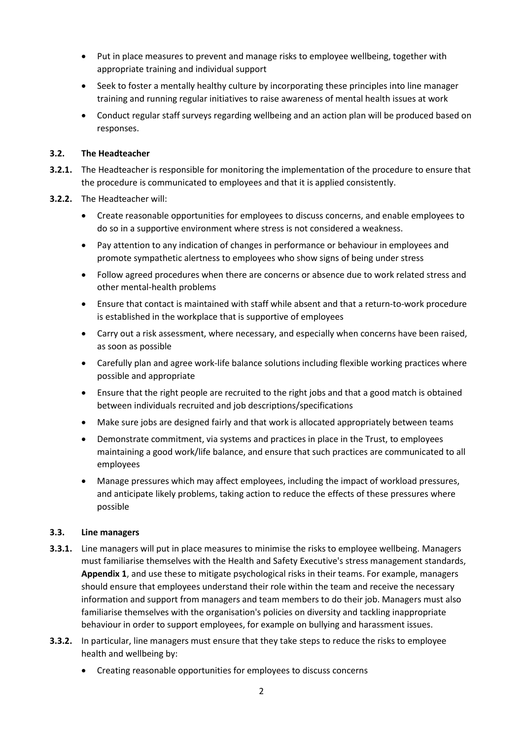- Put in place measures to prevent and manage risks to employee wellbeing, together with appropriate training and individual support
- Seek to foster a mentally healthy culture by incorporating these principles into line manager training and running regular initiatives to raise awareness of mental health issues at work
- Conduct regular staff surveys regarding wellbeing and an action plan will be produced based on responses.

#### **3.2. The Headteacher**

- **3.2.1.** The Headteacher is responsible for monitoring the implementation of the procedure to ensure that the procedure is communicated to employees and that it is applied consistently.
- **3.2.2.** The Headteacher will:
	- Create reasonable opportunities for employees to discuss concerns, and enable employees to do so in a supportive environment where stress is not considered a weakness.
	- Pay attention to any indication of changes in performance or behaviour in employees and promote sympathetic alertness to employees who show signs of being under stress
	- Follow agreed procedures when there are concerns or absence due to work related stress and other mental-health problems
	- Ensure that contact is maintained with staff while absent and that a return-to-work procedure is established in the workplace that is supportive of employees
	- Carry out a risk assessment, where necessary, and especially when concerns have been raised, as soon as possible
	- Carefully plan and agree work-life balance solutions including flexible working practices where possible and appropriate
	- Ensure that the right people are recruited to the right jobs and that a good match is obtained between individuals recruited and job descriptions/specifications
	- Make sure jobs are designed fairly and that work is allocated appropriately between teams
	- Demonstrate commitment, via systems and practices in place in the Trust, to employees maintaining a good work/life balance, and ensure that such practices are communicated to all employees
	- Manage pressures which may affect employees, including the impact of workload pressures, and anticipate likely problems, taking action to reduce the effects of these pressures where possible

#### **3.3. Line managers**

- **3.3.1.** Line managers will put in place measures to minimise the risks to employee wellbeing. Managers must familiarise themselves with the Health and Safety Executive's stress management standards, **Appendix 1**, and use these to mitigate psychological risks in their teams. For example, managers should ensure that employees understand their role within the team and receive the necessary information and support from managers and team members to do their job. Managers must also familiarise themselves with the organisation's policies on diversity and tackling inappropriate behaviour in order to support employees, for example on bullying and harassment issues.
- **3.3.2.** In particular, line managers must ensure that they take steps to reduce the risks to employee health and wellbeing by:
	- Creating reasonable opportunities for employees to discuss concerns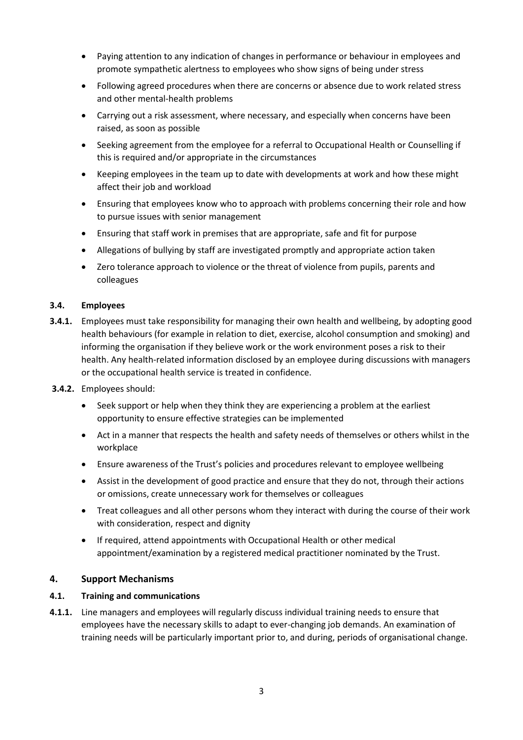- Paying attention to any indication of changes in performance or behaviour in employees and promote sympathetic alertness to employees who show signs of being under stress
- Following agreed procedures when there are concerns or absence due to work related stress and other mental-health problems
- Carrying out a risk assessment, where necessary, and especially when concerns have been raised, as soon as possible
- Seeking agreement from the employee for a referral to Occupational Health or Counselling if this is required and/or appropriate in the circumstances
- Keeping employees in the team up to date with developments at work and how these might affect their job and workload
- Ensuring that employees know who to approach with problems concerning their role and how to pursue issues with senior management
- Ensuring that staff work in premises that are appropriate, safe and fit for purpose
- Allegations of bullying by staff are investigated promptly and appropriate action taken
- Zero tolerance approach to violence or the threat of violence from pupils, parents and colleagues

#### **3.4. Employees**

- **3.4.1.** Employees must take responsibility for managing their own health and wellbeing, by adopting good health behaviours (for example in relation to diet, exercise, alcohol consumption and smoking) and informing the organisation if they believe work or the work environment poses a risk to their health. Any health-related information disclosed by an employee during discussions with managers or the occupational health service is treated in confidence.
- **3.4.2.** Employees should:
	- Seek support or help when they think they are experiencing a problem at the earliest opportunity to ensure effective strategies can be implemented
	- Act in a manner that respects the health and safety needs of themselves or others whilst in the workplace
	- Ensure awareness of the Trust's policies and procedures relevant to employee wellbeing
	- Assist in the development of good practice and ensure that they do not, through their actions or omissions, create unnecessary work for themselves or colleagues
	- Treat colleagues and all other persons whom they interact with during the course of their work with consideration, respect and dignity
	- If required, attend appointments with Occupational Health or other medical appointment/examination by a registered medical practitioner nominated by the Trust.

#### **4. Support Mechanisms**

#### **4.1. Training and communications**

**4.1.1.** Line managers and employees will regularly discuss individual training needs to ensure that employees have the necessary skills to adapt to ever-changing job demands. An examination of training needs will be particularly important prior to, and during, periods of organisational change.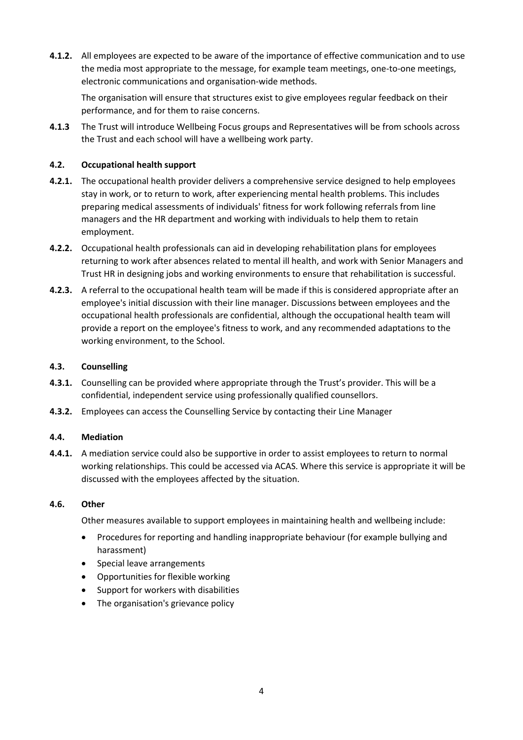**4.1.2.** All employees are expected to be aware of the importance of effective communication and to use the media most appropriate to the message, for example team meetings, one-to-one meetings, electronic communications and organisation-wide methods.

The organisation will ensure that structures exist to give employees regular feedback on their performance, and for them to raise concerns.

**4.1.3** The Trust will introduce Wellbeing Focus groups and Representatives will be from schools across the Trust and each school will have a wellbeing work party.

#### **4.2. Occupational health support**

- **4.2.1.** The occupational health provider delivers a comprehensive service designed to help employees stay in work, or to return to work, after experiencing mental health problems. This includes preparing medical assessments of individuals' fitness for work following referrals from line managers and the HR department and working with individuals to help them to retain employment.
- **4.2.2.** Occupational health professionals can aid in developing rehabilitation plans for employees returning to work after absences related to mental ill health, and work with Senior Managers and Trust HR in designing jobs and working environments to ensure that rehabilitation is successful.
- **4.2.3.** A referral to the occupational health team will be made if this is considered appropriate after an employee's initial discussion with their line manager. Discussions between employees and the occupational health professionals are confidential, although the occupational health team will provide a report on the employee's fitness to work, and any recommended adaptations to the working environment, to the School.

#### **4.3. Counselling**

- **4.3.1.** Counselling can be provided where appropriate through the Trust's provider. This will be a confidential, independent service using professionally qualified counsellors.
- **4.3.2.** Employees can access the Counselling Service by contacting their Line Manager

#### **4.4. Mediation**

**4.4.1.** A mediation service could also be supportive in order to assist employees to return to normal working relationships. This could be accessed via ACAS. Where this service is appropriate it will be discussed with the employees affected by the situation.

#### **4.6. Other**

Other measures available to support employees in maintaining health and wellbeing include:

- Procedures for reporting and handling inappropriate behaviour (for example bullying and harassment)
- Special leave arrangements
- Opportunities for flexible working
- Support for workers with disabilities
- The organisation's grievance policy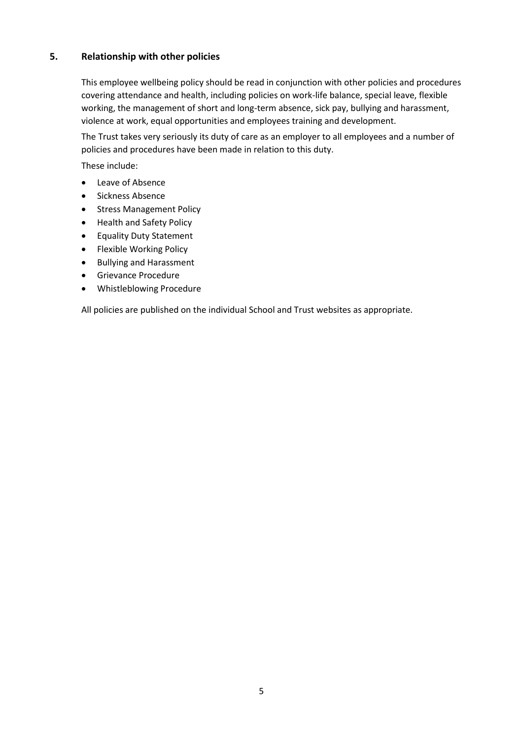# **5. Relationship with other policies**

This employee wellbeing policy should be read in conjunction with other policies and procedures covering attendance and health, including policies on work-life balance, special leave, flexible working, the management of short and long-term absence, sick pay, bullying and harassment, violence at work, equal opportunities and employees training and development.

The Trust takes very seriously its duty of care as an employer to all employees and a number of policies and procedures have been made in relation to this duty.

These include:

- Leave of Absence
- Sickness Absence
- **•** Stress Management Policy
- Health and Safety Policy
- **•** Equality Duty Statement
- Flexible Working Policy
- Bullying and Harassment
- Grievance Procedure
- Whistleblowing Procedure

All policies are published on the individual School and Trust websites as appropriate.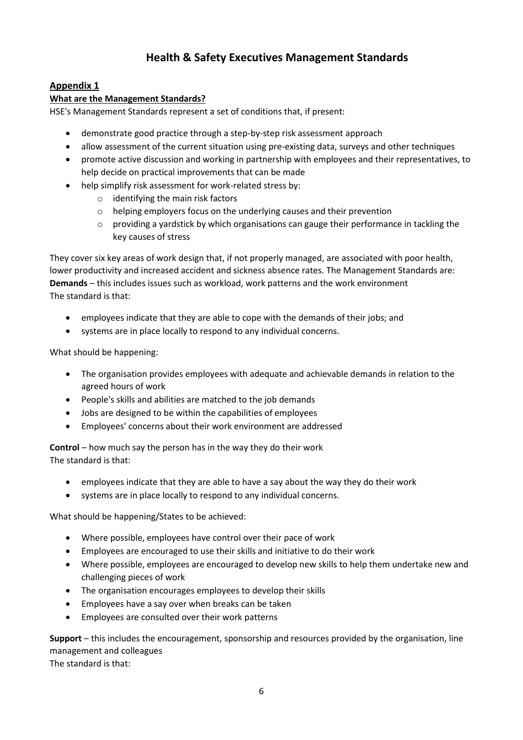# **Health & Safety Executives Management Standards**

# **Appendix 1**

#### **What are the Management Standards?**

HSE's Management Standards represent a set of conditions that, if present:

- demonstrate good practice through a step-by-step risk assessment approach
- allow assessment of the current situation using pre-existing data, surveys and other techniques
- promote active discussion and working in partnership with employees and their representatives, to help decide on practical improvements that can be made
- help simplify risk assessment for work-related stress by:
	- o identifying the main risk factors
	- o helping employers focus on the underlying causes and their prevention
	- o providing a yardstick by which organisations can gauge their performance in tackling the key causes of stress

They cover six key areas of work design that, if not properly managed, are associated with poor health, lower productivity and increased accident and sickness absence rates. The Management Standards are: **Demands** – this includes issues such as workload, work patterns and the work environment The standard is that:

- employees indicate that they are able to cope with the demands of their jobs; and
- systems are in place locally to respond to any individual concerns.

What should be happening:

- The organisation provides employees with adequate and achievable demands in relation to the agreed hours of work
- People's skills and abilities are matched to the job demands
- Jobs are designed to be within the capabilities of employees
- Employees' concerns about their work environment are addressed

**Control** – how much say the person has in the way they do their work The standard is that:

- employees indicate that they are able to have a say about the way they do their work
- systems are in place locally to respond to any individual concerns.

What should be happening/States to be achieved:

- Where possible, employees have control over their pace of work
- Employees are encouraged to use their skills and initiative to do their work
- Where possible, employees are encouraged to develop new skills to help them undertake new and challenging pieces of work
- The organisation encourages employees to develop their skills
- Employees have a say over when breaks can be taken
- Employees are consulted over their work patterns

**Support** – this includes the encouragement, sponsorship and resources provided by the organisation, line management and colleagues The standard is that:

6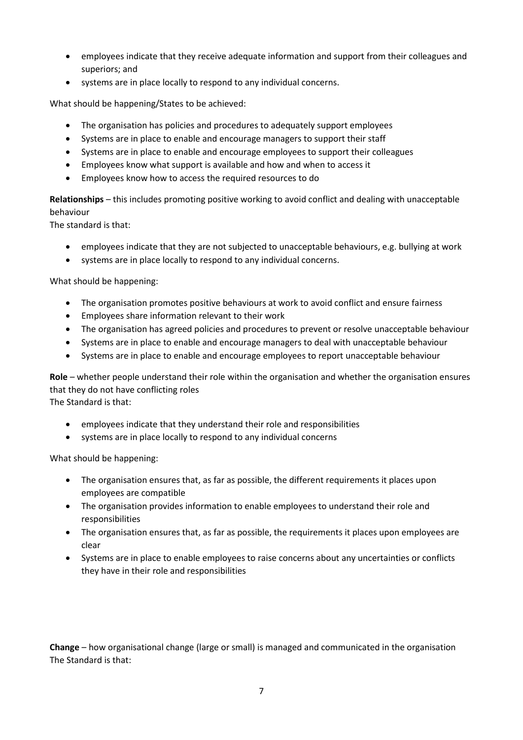- employees indicate that they receive adequate information and support from their colleagues and superiors; and
- systems are in place locally to respond to any individual concerns.

What should be happening/States to be achieved:

- The organisation has policies and procedures to adequately support employees
- Systems are in place to enable and encourage managers to support their staff
- Systems are in place to enable and encourage employees to support their colleagues
- Employees know what support is available and how and when to access it
- Employees know how to access the required resources to do

**Relationships** – this includes promoting positive working to avoid conflict and dealing with unacceptable behaviour

The standard is that:

- employees indicate that they are not subjected to unacceptable behaviours, e.g. bullying at work
- systems are in place locally to respond to any individual concerns.

What should be happening:

- The organisation promotes positive behaviours at work to avoid conflict and ensure fairness
- Employees share information relevant to their work
- The organisation has agreed policies and procedures to prevent or resolve unacceptable behaviour
- Systems are in place to enable and encourage managers to deal with unacceptable behaviour
- Systems are in place to enable and encourage employees to report unacceptable behaviour

**Role** – whether people understand their role within the organisation and whether the organisation ensures that they do not have conflicting roles The Standard is that:

- employees indicate that they understand their role and responsibilities
- systems are in place locally to respond to any individual concerns

What should be happening:

- The organisation ensures that, as far as possible, the different requirements it places upon employees are compatible
- The organisation provides information to enable employees to understand their role and responsibilities
- The organisation ensures that, as far as possible, the requirements it places upon employees are clear
- Systems are in place to enable employees to raise concerns about any uncertainties or conflicts they have in their role and responsibilities

**Change** – how organisational change (large or small) is managed and communicated in the organisation The Standard is that: